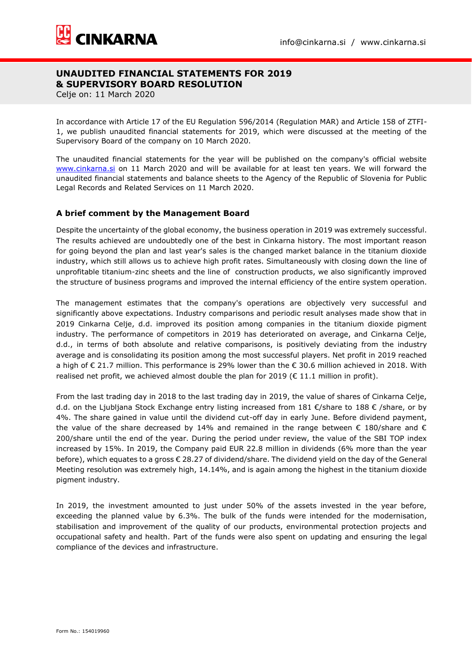

Celje on: 11 March 2020

In accordance with Article 17 of the EU Regulation 596/2014 (Regulation MAR) and Article 158 of ZTFI-1, we publish unaudited financial statements for 2019, which were discussed at the meeting of the Supervisory Board of the company on 10 March 2020.

The unaudited financial statements for the year will be published on the company's official website [www.cinkarna.si](http://www.cinkarna.si/) on 11 March 2020 and will be available for at least ten years. We will forward the unaudited financial statements and balance sheets to the Agency of the Republic of Slovenia for Public Legal Records and Related Services on 11 March 2020.

### **A brief comment by the Management Board**

Despite the uncertainty of the global economy, the business operation in 2019 was extremely successful. The results achieved are undoubtedly one of the best in Cinkarna history. The most important reason for going beyond the plan and last year's sales is the changed market balance in the titanium dioxide industry, which still allows us to achieve high profit rates. Simultaneously with closing down the line of unprofitable titanium-zinc sheets and the line of construction products, we also significantly improved the structure of business programs and improved the internal efficiency of the entire system operation.

The management estimates that the company's operations are objectively very successful and significantly above expectations. Industry comparisons and periodic result analyses made show that in 2019 Cinkarna Celje, d.d. improved its position among companies in the titanium dioxide pigment industry. The performance of competitors in 2019 has deteriorated on average, and Cinkarna Celje, d.d., in terms of both absolute and relative comparisons, is positively deviating from the industry average and is consolidating its position among the most successful players. Net profit in 2019 reached a high of € 21.7 million. This performance is 29% lower than the € 30.6 million achieved in 2018. With realised net profit, we achieved almost double the plan for 2019 ( $\epsilon$  11.1 million in profit).

From the last trading day in 2018 to the last trading day in 2019, the value of shares of Cinkarna Celje, d.d. on the Ljubljana Stock Exchange entry listing increased from 181 €/share to 188 € /share, or by 4%. The share gained in value until the dividend cut-off day in early June. Before dividend payment, the value of the share decreased by 14% and remained in the range between  $\epsilon$  180/share and  $\epsilon$ 200/share until the end of the year. During the period under review, the value of the SBI TOP index increased by 15%. In 2019, the Company paid EUR 22.8 million in dividends (6% more than the year before), which equates to a gross € 28.27 of dividend/share. The dividend yield on the day of the General Meeting resolution was extremely high, 14.14%, and is again among the highest in the titanium dioxide pigment industry.

In 2019, the investment amounted to just under 50% of the assets invested in the year before, exceeding the planned value by 6.3%. The bulk of the funds were intended for the modernisation, stabilisation and improvement of the quality of our products, environmental protection projects and occupational safety and health. Part of the funds were also spent on updating and ensuring the legal compliance of the devices and infrastructure.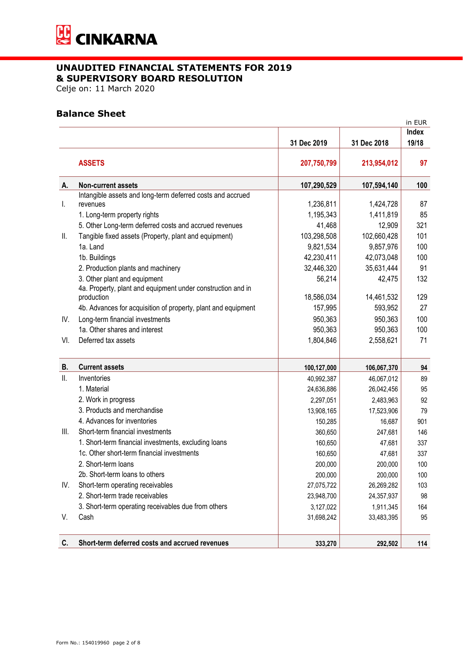

Celje on: 11 March 2020

## **Balance Sheet**

|      |                                                               |             |             | in EUR |
|------|---------------------------------------------------------------|-------------|-------------|--------|
|      |                                                               |             |             | Index  |
|      |                                                               | 31 Dec 2019 | 31 Dec 2018 | 19/18  |
|      | <b>ASSETS</b>                                                 | 207,750,799 | 213,954,012 | 97     |
| А.   | Non-current assets                                            | 107,290,529 | 107,594,140 | 100    |
|      | Intangible assets and long-term deferred costs and accrued    |             |             |        |
| L.   | revenues                                                      | 1,236,811   | 1,424,728   | 87     |
|      | 1. Long-term property rights                                  | 1,195,343   | 1,411,819   | 85     |
|      | 5. Other Long-term deferred costs and accrued revenues        | 41,468      | 12,909      | 321    |
| Ш.   | Tangible fixed assets (Property, plant and equipment)         | 103,298,508 | 102,660,428 | 101    |
|      | 1a. Land                                                      | 9,821,534   | 9,857,976   | 100    |
|      | 1b. Buildings                                                 | 42,230,411  | 42,073,048  | 100    |
|      | 2. Production plants and machinery                            | 32,446,320  | 35,631,444  | 91     |
|      | 3. Other plant and equipment                                  | 56,214      | 42,475      | 132    |
|      | 4a. Property, plant and equipment under construction and in   |             |             |        |
|      | production                                                    | 18,586,034  | 14,461,532  | 129    |
|      | 4b. Advances for acquisition of property, plant and equipment | 157,995     | 593,952     | 27     |
| IV.  | Long-term financial investments                               | 950,363     | 950,363     | 100    |
|      | 1a. Other shares and interest                                 | 950,363     | 950,363     | 100    |
| VI.  | Deferred tax assets                                           | 1,804,846   | 2,558,621   | 71     |
| В.   | <b>Current assets</b>                                         | 100,127,000 | 106,067,370 | 94     |
| Ш.   | Inventories                                                   | 40,992,387  | 46,067,012  | 89     |
|      | 1. Material                                                   | 24,636,886  | 26,042,456  | 95     |
|      | 2. Work in progress                                           | 2,297,051   | 2,483,963   | 92     |
|      | 3. Products and merchandise                                   | 13,908,165  | 17,523,906  | 79     |
|      | 4. Advances for inventories                                   | 150,285     | 16,687      | 901    |
| III. | Short-term financial investments                              | 360,650     | 247,681     | 146    |
|      | 1. Short-term financial investments, excluding loans          | 160,650     | 47,681      | 337    |
|      | 1c. Other short-term financial investments                    | 160,650     | 47,681      | 337    |
|      | 2. Short-term loans                                           | 200,000     | 200,000     | 100    |
|      | 2b. Short-term loans to others                                | 200,000     | 200,000     | 100    |
| IV.  | Short-term operating receivables                              | 27,075,722  | 26,269,282  | 103    |
|      | 2. Short-term trade receivables                               | 23,948,700  | 24,357,937  | 98     |
|      | 3. Short-term operating receivables due from others           | 3,127,022   | 1,911,345   | 164    |
| V.   | Cash                                                          | 31,698,242  | 33,483,395  | 95     |
| C.   | Short-term deferred costs and accrued revenues                | 333,270     | 292,502     | 114    |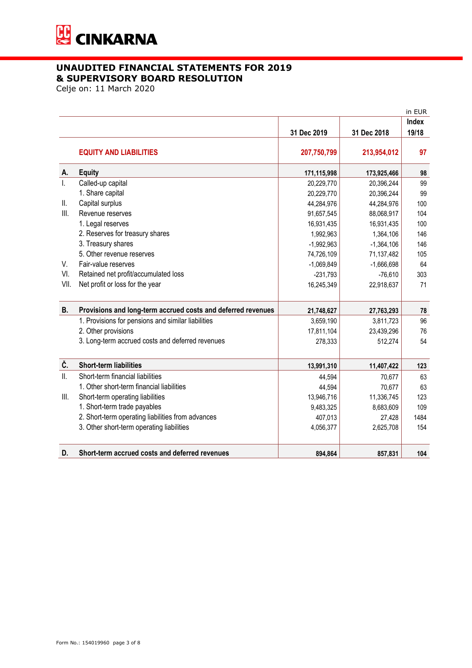

Celje on: 11 March 2020

|              |                                                              |              |              | in EUR |
|--------------|--------------------------------------------------------------|--------------|--------------|--------|
|              |                                                              |              |              | Index  |
|              |                                                              | 31 Dec 2019  | 31 Dec 2018  | 19/18  |
|              |                                                              |              |              |        |
|              | <b>EQUITY AND LIABILITIES</b>                                | 207,750,799  | 213,954,012  | 97     |
| Α.           | <b>Equity</b>                                                | 171,115,998  | 173,925,466  | 98     |
| $\mathbf{L}$ | Called-up capital                                            | 20,229,770   | 20,396,244   | 99     |
|              | 1. Share capital                                             | 20,229,770   | 20,396,244   | 99     |
| Ⅱ.           | Capital surplus                                              | 44,284,976   | 44,284,976   | 100    |
| III.         | Revenue reserves                                             | 91,657,545   | 88,068,917   | 104    |
|              | 1. Legal reserves                                            | 16,931,435   | 16,931,435   | 100    |
|              | 2. Reserves for treasury shares                              | 1,992,963    | 1,364,106    | 146    |
|              | 3. Treasury shares                                           | $-1,992,963$ | $-1,364,106$ | 146    |
|              | 5. Other revenue reserves                                    | 74,726,109   | 71,137,482   | 105    |
| V.           | Fair-value reserves                                          | $-1,069,849$ | $-1,666,698$ | 64     |
| VI.          | Retained net profit/accumulated loss                         | $-231,793$   | $-76,610$    | 303    |
| VII.         | Net profit or loss for the year                              | 16,245,349   | 22,918,637   | 71     |
|              |                                                              |              |              |        |
| <b>B.</b>    | Provisions and long-term accrued costs and deferred revenues | 21,748,627   | 27,763,293   | 78     |
|              | 1. Provisions for pensions and similar liabilities           | 3,659,190    | 3,811,723    | 96     |
|              | 2. Other provisions                                          | 17,811,104   | 23,439,296   | 76     |
|              | 3. Long-term accrued costs and deferred revenues             | 278,333      | 512,274      | 54     |
|              |                                                              |              |              |        |
| Č.           | <b>Short-term liabilities</b>                                | 13,991,310   | 11,407,422   | 123    |
| II.          | Short-term financial liabilities                             | 44,594       | 70,677       | 63     |
|              | 1. Other short-term financial liabilities                    | 44,594       | 70,677       | 63     |
| Ш.           | Short-term operating liabilities                             | 13,946,716   | 11,336,745   | 123    |
|              | 1. Short-term trade payables                                 | 9,483,325    | 8,683,609    | 109    |
|              | 2. Short-term operating liabilities from advances            | 407,013      | 27,428       | 1484   |
|              | 3. Other short-term operating liabilities                    | 4,056,377    | 2,625,708    | 154    |
|              |                                                              |              |              |        |
| D.           | Short-term accrued costs and deferred revenues               | 894,864      | 857,831      | 104    |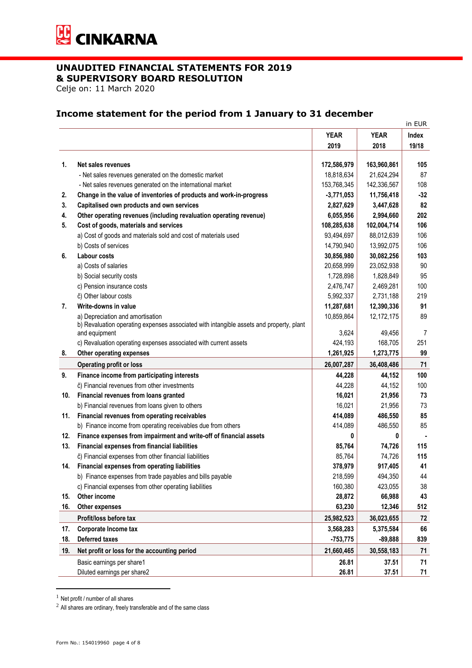

Celje on: 11 March 2020

# **Income statement for the period from 1 January to 31 december**

|     |                                                                                         |              |              | in EUR |
|-----|-----------------------------------------------------------------------------------------|--------------|--------------|--------|
|     |                                                                                         | <b>YEAR</b>  | <b>YEAR</b>  | Index  |
|     |                                                                                         | 2019         | 2018         | 19/18  |
|     |                                                                                         |              |              |        |
| 1.  | Net sales revenues                                                                      | 172,586,979  | 163,960,861  | 105    |
|     | - Net sales revenues generated on the domestic market                                   | 18,818,634   | 21,624,294   | 87     |
|     | - Net sales revenues generated on the international market                              | 153,768,345  | 142,336,567  | 108    |
| 2.  | Change in the value of inventories of products and work-in-progress                     | $-3,771,053$ | 11,756,418   | $-32$  |
| 3.  | Capitalised own products and own services                                               | 2,827,629    | 3,447,628    | 82     |
| 4.  | Other operating revenues (including revaluation operating revenue)                      | 6,055,956    | 2,994,660    | 202    |
| 5.  | Cost of goods, materials and services                                                   | 108,285,638  | 102,004,714  | 106    |
|     | a) Cost of goods and materials sold and cost of materials used                          | 93,494,697   | 88,012,639   | 106    |
|     | b) Costs of services                                                                    | 14,790,940   | 13,992,075   | 106    |
| 6.  | Labour costs                                                                            | 30,856,980   | 30,082,256   | 103    |
|     | a) Costs of salaries                                                                    | 20,658,999   | 23,052,938   | 90     |
|     | b) Social security costs                                                                | 1,728,898    | 1,828,849    | 95     |
|     | c) Pension insurance costs                                                              | 2,476,747    | 2,469,281    | 100    |
|     | č) Other labour costs                                                                   | 5,992,337    | 2,731,188    | 219    |
| 7.  | Write-downs in value                                                                    | 11,287,681   | 12,390,336   | 91     |
|     | a) Depreciation and amortisation                                                        | 10,859,864   | 12, 172, 175 | 89     |
|     | b) Revaluation operating expenses associated with intangible assets and property, plant |              |              |        |
|     | and equipment                                                                           | 3,624        | 49,456       | 7      |
|     | c) Revaluation operating expenses associated with current assets                        | 424,193      | 168,705      | 251    |
| 8.  | Other operating expenses                                                                | 1,261,925    | 1,273,775    | 99     |
|     | <b>Operating profit or loss</b>                                                         | 26,007,287   | 36,408,486   | 71     |
| 9.  | Finance income from participating interests                                             | 44,228       | 44,152       | 100    |
|     | č) Financial revenues from other investments                                            | 44,228       | 44,152       | 100    |
| 10. | Financial revenues from loans granted                                                   | 16,021       | 21,956       | 73     |
|     | b) Financial revenues from loans given to others                                        | 16,021       | 21,956       | 73     |
| 11. | Financial revenues from operating receivables                                           | 414,089      | 486,550      | 85     |
|     | b) Finance income from operating receivables due from others                            | 414,089      | 486,550      | 85     |
| 12. | Finance expenses from impairment and write-off of financial assets                      | 0            | 0            |        |
| 13. | Financial expenses from financial liabilities                                           | 85,764       | 74,726       | 115    |
|     | č) Financial expenses from other financial liabilities                                  | 85,764       | 74,726       | 115    |
| 14. | Financial expenses from operating liabilities                                           | 378,979      | 917,405      | 41     |
|     | b) Finance expenses from trade payables and bills payable                               | 218,599      | 494,350      | 44     |
|     | c) Financial expenses from other operating liabilities                                  | 160,380      | 423,055      | 38     |
| 15. | Other income                                                                            | 28,872       | 66,988       | 43     |
| 16. | Other expenses                                                                          | 63,230       | 12,346       | 512    |
|     | Profit/loss before tax                                                                  | 25,982,523   | 36,023,655   | 72     |
| 17. | Corporate Income tax                                                                    | 3,568,283    | 5,375,584    | 66     |
| 18. | <b>Deferred taxes</b>                                                                   | $-753,775$   | $-89,888$    | 839    |
| 19. | Net profit or loss for the accounting period                                            | 21,660,465   | 30,558,183   | 71     |
|     | Basic earnings per share1                                                               | 26.81        | 37.51        | 71     |
|     | Diluted earnings per share2                                                             | 26.81        | 37.51        | 71     |

 $<sup>1</sup>$  Net profit / number of all shares</sup>

 $^2$  All shares are ordinary, freely transferable and of the same class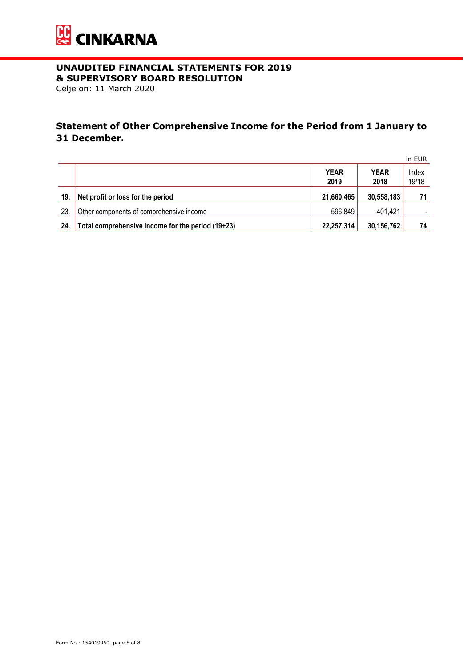

Celje on: 11 March 2020

# **Statement of Other Comprehensive Income for the Period from 1 January to 31 December.**

|     |                                                   |                     |                     | in EUR         |
|-----|---------------------------------------------------|---------------------|---------------------|----------------|
|     |                                                   | <b>YEAR</b><br>2019 | <b>YEAR</b><br>2018 | Index<br>19/18 |
| 19. | Net profit or loss for the period                 | 21,660,465          | 30,558,183          | 71             |
| 23. | Other components of comprehensive income          | 596,849             | -401,421            |                |
| 24. | Total comprehensive income for the period (19+23) | 22,257,314          | 30,156,762          | 74             |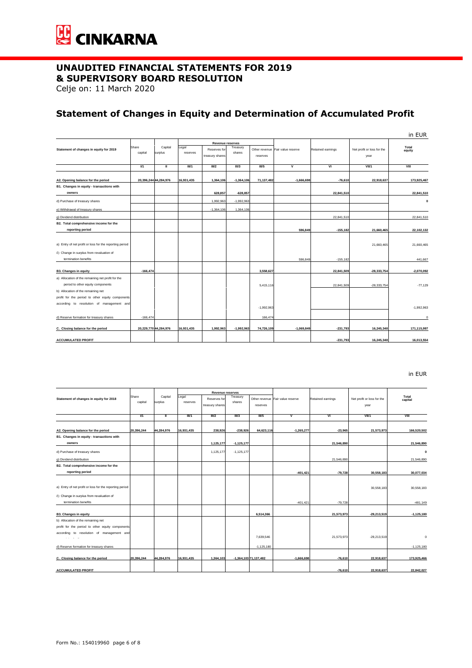

Celje on: 11 March 2020

# **Statement of Changes in Equity and Determination of Accumulated Profit**

|                                                                                                                              |                  |                       |                   |                                                     |                    |              |                                  |                   |                                    | in EUR          |
|------------------------------------------------------------------------------------------------------------------------------|------------------|-----------------------|-------------------|-----------------------------------------------------|--------------------|--------------|----------------------------------|-------------------|------------------------------------|-----------------|
| Statement of changes in equity for 2019                                                                                      | Share<br>capital | Capital<br>surplus    | Legal<br>reserves | Revenue reserves<br>Reserves for<br>treasury shares | Treasury<br>shares | reserves     | Other revenue Fair value reserve | Retained earnings | Net profit or loss for the<br>year | Total<br>equity |
|                                                                                                                              | 1/1              | π                     | III/1             | III/2                                               | III/3              | <b>III/5</b> | v                                | VI                | VII/1                              | VIII            |
| A2. Opening balance for the period                                                                                           |                  | 20,396,244 44,284,976 | 16.931.435        | 1,364,106                                           | $-1.364.106$       | 71,137,482   | $-1.666.698$                     | $-76,610$         | 22.918.637                         | 173.925.467     |
| B1. Changes in equity - transactions with<br>owners                                                                          |                  |                       |                   | 628,857                                             | $-628, 857$        |              |                                  | 22,841,510        |                                    | 22,841,510      |
| d) Purchase of treasury shares                                                                                               |                  |                       |                   | 1,992,963                                           | $-1,992,963$       |              |                                  |                   |                                    | $\Omega$        |
| e) Withdrawal of treasury shares                                                                                             |                  |                       |                   | $-1,364,106$                                        | 1,364,106          |              |                                  |                   |                                    |                 |
| g) Dividend distribution                                                                                                     |                  |                       |                   |                                                     |                    |              |                                  | 22,841,510        |                                    | 22,841,510      |
| B2. Total comprehensive income for the<br>reporting period                                                                   |                  |                       |                   |                                                     |                    |              | 596,849                          | $-155, 182$       | 21,660,465                         | 22,102,132      |
| a) Entry of net profit or loss for the reporting period<br>č) Change in surplus from revaluation of                          |                  |                       |                   |                                                     |                    |              |                                  |                   | 21,660,465                         | 21.660.465      |
| termination benefits                                                                                                         |                  |                       |                   |                                                     |                    |              | 596,849                          | $-155.182$        |                                    | 441,667         |
| <b>B3. Changes in equity</b>                                                                                                 | $-166.474$       |                       |                   |                                                     |                    | 3,558,627    |                                  | 22,841,509        | $-28,333,754$                      | $-2.070.092$    |
| a) Allocation of the remaining net profit for the<br>period to other equity components<br>b) Allocation of the remaining net |                  |                       |                   |                                                     |                    | 5,415,116    |                                  | 22,841,509        | $-28,333,754$                      | $-77,129$       |
| profit for the period to other equity components<br>according to resolution of management and                                |                  |                       |                   |                                                     |                    | $-1.992.963$ |                                  |                   |                                    | $-1.992.963$    |
| d) Reserve formation for treasury shares                                                                                     | $-166,474$       |                       |                   |                                                     |                    | 166,474      |                                  |                   |                                    | $\circ$         |
| C. Closing balance for the period                                                                                            |                  | 20,229,770 44,284,976 | 16,931,435        | 1,992,963                                           | $-1,992,963$       | 74,726,109   | $-1,069,849$                     | $-231,793$        | 16,245,348                         | 171,115,997     |
| <b>ACCUMULATED PROFIT</b>                                                                                                    |                  |                       |                   |                                                     |                    |              |                                  | $-231,793$        | 16,245,348                         | 16,013,554      |

in EUR

|                                                         |            | Share              |                   |                 | Revenue reserves | Treasurv              |                                  |                   |                            |                | Total |
|---------------------------------------------------------|------------|--------------------|-------------------|-----------------|------------------|-----------------------|----------------------------------|-------------------|----------------------------|----------------|-------|
| Statement of changes in equity for 2018                 | capital    | Capital<br>surplus | Legal<br>reserves | Reserves for    | shares           |                       | Other revenue Fair value reserve | Retained earnings | Net profit or loss for the | capital        |       |
|                                                         |            |                    |                   | treasury shares |                  | reserves              |                                  |                   | year                       |                |       |
|                                                         |            |                    |                   |                 |                  |                       |                                  |                   |                            |                |       |
|                                                         | <b>V1</b>  | π                  | III/1             | III/2           | III/3            | III/5                 | V                                | VI                | VII/1                      | VIII           |       |
|                                                         |            |                    |                   |                 |                  |                       |                                  |                   |                            |                |       |
| A2. Opening balance for the period                      | 20,396,244 | 44,284,976         | 16,931,435        | 238,926         | $-238,926$       | 64,623,116            | $-1,265,277$                     | $-23,965$         | 21,573,973                 | 166,520,502    |       |
| B1. Changes in equity - transactions with               |            |                    |                   |                 |                  |                       |                                  |                   |                            |                |       |
| owners                                                  |            |                    |                   | 1,125,177       | $-1,125,177$     |                       |                                  | 21,546,890        |                            | 21,546,890     |       |
| d) Purchase of treasury shares                          |            |                    |                   | 1,125,177       | $-1,125,177$     |                       |                                  |                   |                            | $\Omega$       |       |
| g) Dividend distribution                                |            |                    |                   |                 |                  |                       |                                  | 21,546,890        |                            | 21,546,890     |       |
| B2. Total comprehensive income for the                  |            |                    |                   |                 |                  |                       |                                  |                   |                            |                |       |
| reporting period                                        |            |                    |                   |                 |                  |                       | $-401,421$                       | $-79,728$         | 30,558,183                 | 30,077,034     |       |
|                                                         |            |                    |                   |                 |                  |                       |                                  |                   |                            |                |       |
| a) Entry of net profit or loss for the reporting period |            |                    |                   |                 |                  |                       |                                  |                   | 30,558,183                 | 30,558,183     |       |
|                                                         |            |                    |                   |                 |                  |                       |                                  |                   |                            |                |       |
| č) Change in surplus from revaluation of                |            |                    |                   |                 |                  |                       |                                  |                   |                            |                |       |
| termination benefits                                    |            |                    |                   |                 |                  |                       | $-401.421$                       | $-79.728$         |                            | $-481.149$     |       |
| <b>B3. Changes in equity</b>                            |            |                    |                   |                 |                  | 6,514,366             |                                  | 21,573,973        | $-29,213,519$              | $-1, 125, 180$ |       |
| b) Allocation of the remaining net                      |            |                    |                   |                 |                  |                       |                                  |                   |                            |                |       |
| profit for the period to other equity components        |            |                    |                   |                 |                  |                       |                                  |                   |                            |                |       |
| according to resolution of management and               |            |                    |                   |                 |                  |                       |                                  |                   |                            |                |       |
| All Arrest                                              |            |                    |                   |                 |                  | 7,639,546             |                                  | 21,573,973        | $-29,213,519$              | $\Omega$       |       |
| d) Reserve formation for treasury shares                |            |                    |                   |                 |                  | $-1.125.180$          |                                  |                   |                            | $-1.125.180$   |       |
|                                                         |            |                    |                   |                 |                  |                       |                                  |                   |                            |                |       |
| C. Closing balance for the period                       | 20.396.244 | 44.284.976         | 16.931.435        | 1,364,103       |                  | -1,364,103 71,137,482 | $-1,666,698$                     | $-76,610$         | 22,918,637                 | 173,925,466    |       |
| <b>ACCUMULATED PROFIT</b>                               |            |                    |                   |                 |                  |                       |                                  | $-76.610$         | 22.918.637                 | 22.842.027     |       |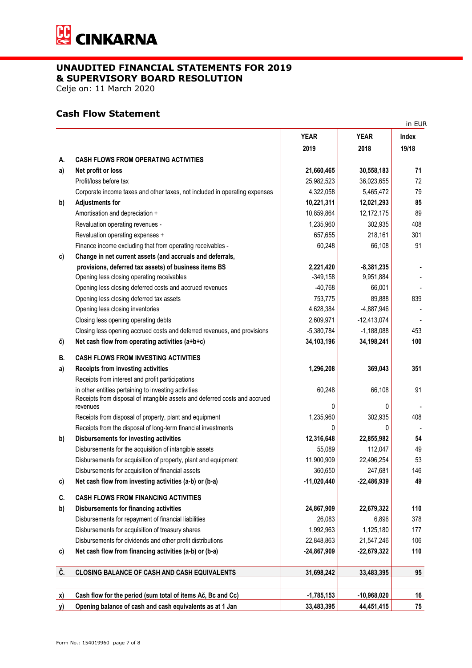

Celje on: 11 March 2020

# **Cash Flow Statement**

|           |                                                                                                                                    |               |               | in EUR |
|-----------|------------------------------------------------------------------------------------------------------------------------------------|---------------|---------------|--------|
|           |                                                                                                                                    | <b>YEAR</b>   | <b>YEAR</b>   | Index  |
|           |                                                                                                                                    | 2019          | 2018          | 19/18  |
| А.        | <b>CASH FLOWS FROM OPERATING ACTIVITIES</b>                                                                                        |               |               |        |
| a)        | Net profit or loss                                                                                                                 | 21,660,465    | 30,558,183    | 71     |
|           | Profit/loss before tax                                                                                                             | 25,982,523    | 36,023,655    | 72     |
|           | Corporate income taxes and other taxes, not included in operating expenses                                                         | 4,322,058     | 5,465,472     | 79     |
| b)        | <b>Adjustments for</b>                                                                                                             | 10,221,311    | 12,021,293    | 85     |
|           | Amortisation and depreciation +                                                                                                    | 10,859,864    | 12,172,175    | 89     |
|           | Revaluation operating revenues -                                                                                                   | 1,235,960     | 302,935       | 408    |
|           | Revaluation operating expenses +                                                                                                   | 657,655       | 218,161       | 301    |
|           | Finance income excluding that from operating receivables -                                                                         | 60,248        | 66,108        | 91     |
| c)        | Change in net current assets (and accruals and deferrals,                                                                          |               |               |        |
|           | provisions, deferred tax assets) of business items BS                                                                              | 2,221,420     | $-8,381,235$  |        |
|           | Opening less closing operating receivables                                                                                         | $-349,158$    | 9,951,884     |        |
|           | Opening less closing deferred costs and accrued revenues                                                                           | $-40,768$     | 66,001        |        |
|           | Opening less closing deferred tax assets                                                                                           | 753,775       | 89,888        | 839    |
|           | Opening less closing inventories                                                                                                   | 4,628,384     | $-4,887,946$  |        |
|           | Closing less opening operating debts                                                                                               | 2,609,971     | $-12,413,074$ |        |
|           | Closing less opening accrued costs and deferred revenues, and provisions                                                           | $-5,380,784$  | $-1,188,088$  | 453    |
| č)        | Net cash flow from operating activities (a+b+c)                                                                                    | 34,103,196    | 34,198,241    | 100    |
| В.        | <b>CASH FLOWS FROM INVESTING ACTIVITIES</b>                                                                                        |               |               |        |
| a)        | Receipts from investing activities                                                                                                 | 1,296,208     | 369,043       | 351    |
|           | Receipts from interest and profit participations                                                                                   |               |               |        |
|           | in other entities pertaining to investing activities<br>Receipts from disposal of intangible assets and deferred costs and accrued | 60,248        | 66,108        | 91     |
|           | revenues                                                                                                                           | $\Omega$      | 0             |        |
|           | Receipts from disposal of property, plant and equipment                                                                            | 1,235,960     | 302,935       | 408    |
|           | Receipts from the disposal of long-term financial investments                                                                      | $\Omega$      | 0             |        |
| b)        | <b>Disbursements for investing activities</b>                                                                                      | 12,316,648    | 22,855,982    | 54     |
|           | Disbursements for the acquisition of intangible assets                                                                             | 55,089        | 112,047       | 49     |
|           | Disbursements for acquisition of property, plant and equipment                                                                     | 11,900,909    | 22,496,254    | 53     |
|           | Disbursements for acquisition of financial assets                                                                                  | 360,650       | 247,681       | 146    |
| c)        | Net cash flow from investing activities (a-b) or (b-a)                                                                             | $-11,020,440$ | $-22,486,939$ | 49     |
| C.        | <b>CASH FLOWS FROM FINANCING ACTIVITIES</b>                                                                                        |               |               |        |
| b)        | <b>Disbursements for financing activities</b>                                                                                      | 24,867,909    | 22,679,322    | 110    |
|           | Disbursements for repayment of financial liabilities                                                                               | 26,083        | 6,896         | 378    |
|           | Disbursements for acquisition of treasury shares                                                                                   | 1,992,963     | 1,125,180     | 177    |
|           | Disbursements for dividends and other profit distributions                                                                         | 22,848,863    | 21,547,246    | 106    |
| c)        | Net cash flow from financing activities (a-b) or (b-a)                                                                             | $-24,867,909$ | $-22,679,322$ | 110    |
| Č.        | <b>CLOSING BALANCE OF CASH AND CASH EQUIVALENTS</b>                                                                                | 31,698,242    | 33,483,395    | 95     |
|           |                                                                                                                                    |               |               |        |
| <u>x)</u> | Cash flow for the period (sum total of items Ač, Bc and Cc)                                                                        | $-1,785,153$  | $-10,968,020$ | 16     |
| <u>y)</u> | Opening balance of cash and cash equivalents as at 1 Jan                                                                           | 33,483,395    | 44,451,415    | 75     |